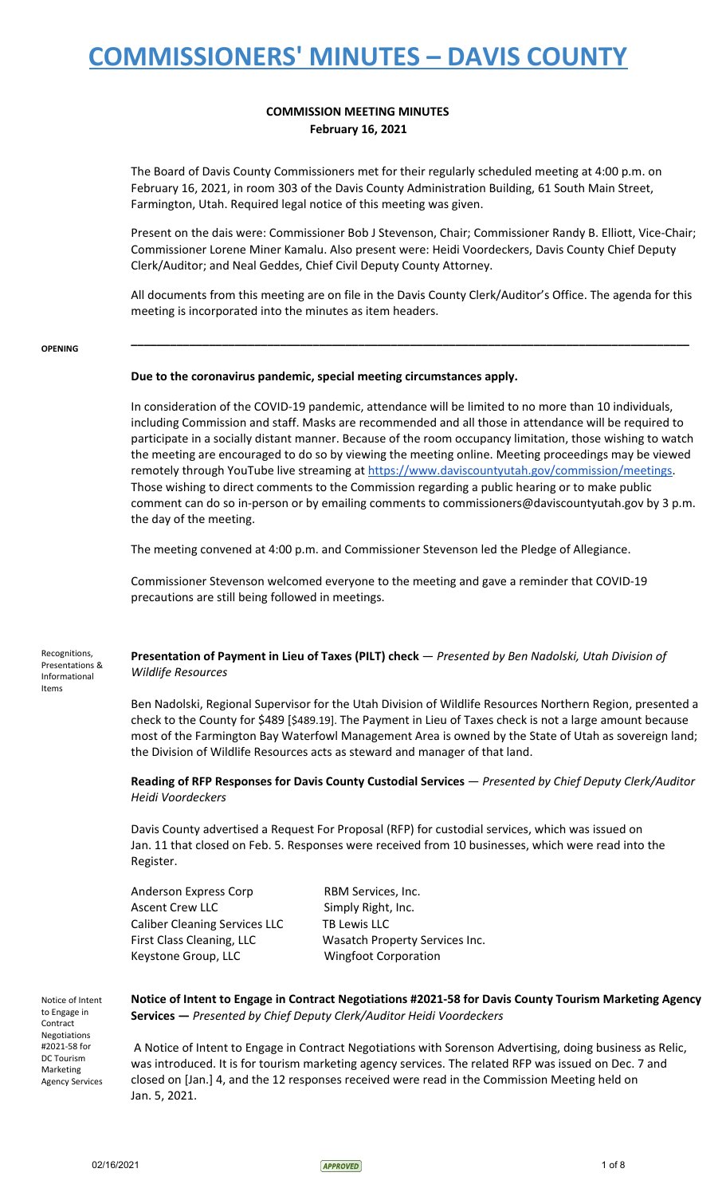## **COMMISSION MEETING MINUTES February 16, 2021**

The Board of Davis County Commissioners met for their regularly scheduled meeting at 4:00 p.m. on February 16, 2021, in room 303 of the Davis County Administration Building, 61 South Main Street, Farmington, Utah. Required legal notice of this meeting was given.

Present on the dais were: Commissioner Bob J Stevenson, Chair; Commissioner Randy B. Elliott, Vice-Chair; Commissioner Lorene Miner Kamalu. Also present were: Heidi Voordeckers, Davis County Chief Deputy Clerk/Auditor; and Neal Geddes, Chief Civil Deputy County Attorney.

All documents from this meeting are on file in the Davis County Clerk/Auditor's Office. The agenda for this meeting is incorporated into the minutes as item headers.

**\_\_\_\_\_\_\_\_\_\_\_\_\_\_\_\_\_\_\_\_\_\_\_\_\_\_\_\_\_\_\_\_\_\_\_\_\_\_\_\_\_\_\_\_\_\_\_\_\_\_\_\_\_\_\_\_\_\_\_\_\_\_\_\_\_\_\_\_\_\_\_\_\_\_\_\_\_\_\_\_\_\_\_\_\_\_**

#### **OPENING**

Items

### **Due to the coronavirus pandemic, special meeting circumstances apply.**

In consideration of the COVID-19 pandemic, attendance will be limited to no more than 10 individuals, including Commission and staff. Masks are recommended and all those in attendance will be required to participate in a socially distant manner. Because of the room occupancy limitation, those wishing to watch the meeting are encouraged to do so by viewing the meeting online. Meeting proceedings may be viewed remotely through YouTube live streaming at [https://www.daviscountyutah.gov/commission/meetings.](https://www.daviscountyutah.gov/commission/meetings) Those wishing to direct comments to the Commission regarding a public hearing or to make public comment can do so in-person or by emailing comments to commissioners@daviscountyutah.gov by 3 p.m. the day of the meeting.

The meeting convened at 4:00 p.m. and Commissioner Stevenson led the Pledge of Allegiance.

Commissioner Stevenson welcomed everyone to the meeting and gave a reminder that COVID-19 precautions are still being followed in meetings.

Recognitions, Presentations & Informational **Presentation of Payment in Lieu of Taxes (PILT) check** — *Presented by Ben Nadolski, Utah Division of Wildlife Resources*

> Ben Nadolski, Regional Supervisor for the Utah Division of Wildlife Resources Northern Region, presented a check to the County for \$489 [\$489.19]. The Payment in Lieu of Taxes check is not a large amount because most of the Farmington Bay Waterfowl Management Area is owned by the State of Utah as sovereign land; the Division of Wildlife Resources acts as steward and manager of that land.

> **Reading of RFP Responses for Davis County Custodial Services** — *Presented by Chief Deputy Clerk/Auditor Heidi Voordeckers*

Davis County advertised a Request For Proposal (RFP) for custodial services, which was issued on Jan. 11 that closed on Feb. 5. Responses were received from 10 businesses, which were read into the Register.

Anderson Express Corp RBM Services, Inc. Ascent Crew LLC Simply Right, Inc. Caliber Cleaning Services LLC TB Lewis LLC Keystone Group, LLC Wingfoot Corporation

First Class Cleaning, LLC Wasatch Property Services Inc.

Notice of Intent to Engage in Contract Negotiations #2021-58 for DC Tourism Marketing Agency Services **Notice of Intent to Engage in Contract Negotiations #2021-58 for Davis County Tourism Marketing Agency Services —** *Presented by Chief Deputy Clerk/Auditor Heidi Voordeckers*

A Notice of Intent to Engage in Contract Negotiations with Sorenson Advertising, doing business as Relic, was introduced. It is for tourism marketing agency services. The related RFP was issued on Dec. 7 and closed on [Jan.] 4, and the 12 responses received were read in the Commission Meeting held on Jan. 5, 2021.

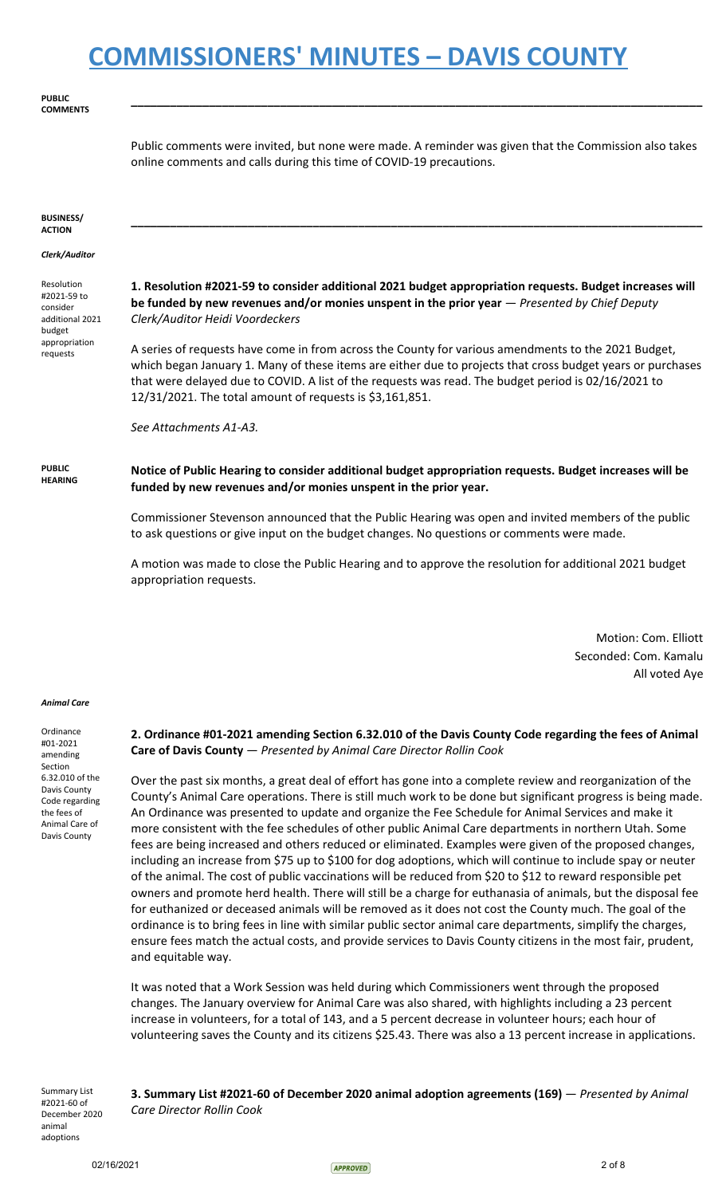**PUBLIC COMMENTS**

> Public comments were invited, but none were made. A reminder was given that the Commission also takes online comments and calls during this time of COVID-19 precautions.

> **\_\_\_\_\_\_\_\_\_\_\_\_\_\_\_\_\_\_\_\_\_\_\_\_\_\_\_\_\_\_\_\_\_\_\_\_\_\_\_\_\_\_\_\_\_\_\_\_\_\_\_\_\_\_\_\_\_\_\_\_\_\_\_\_\_\_\_\_\_\_\_\_\_\_\_\_\_\_\_\_\_\_\_\_\_\_\_\_**

**\_\_\_\_\_\_\_\_\_\_\_\_\_\_\_\_\_\_\_\_\_\_\_\_\_\_\_\_\_\_\_\_\_\_\_\_\_\_\_\_\_\_\_\_\_\_\_\_\_\_\_\_\_\_\_\_\_\_\_\_\_\_\_\_\_\_\_\_\_\_\_\_\_\_\_\_\_\_\_\_\_\_\_\_\_\_\_\_**

#### **BUSINESS/ ACTION**

#### *Clerk/Auditor*

Resolution #2021-59 to consider additional 2021 budget appropriation requests

**1. Resolution #2021-59 to consider additional 2021 budget appropriation requests. Budget increases will be funded by new revenues and/or monies unspent in the prior year** — *Presented by Chief Deputy Clerk/Auditor Heidi Voordeckers*

A series of requests have come in from across the County for various amendments to the 2021 Budget, which began January 1. Many of these items are either due to projects that cross budget years or purchases that were delayed due to COVID. A list of the requests was read. The budget period is 02/16/2021 to 12/31/2021. The total amount of requests is \$3,161,851.

*See Attachments A1-A3.*

**PUBLIC HEARING Notice of Public Hearing to consider additional budget appropriation requests. Budget increases will be funded by new revenues and/or monies unspent in the prior year.**

> Commissioner Stevenson announced that the Public Hearing was open and invited members of the public to ask questions or give input on the budget changes. No questions or comments were made.

> A motion was made to close the Public Hearing and to approve the resolution for additional 2021 budget appropriation requests.

> > Motion: Com. Elliott Seconded: Com. Kamalu All voted Aye

#### *Animal Care*

Ordinance #01-2021 amending Section 6.32.010 of the Davis County Code regarding the fees of Animal Care of Davis County

**2. Ordinance #01-2021 amending Section 6.32.010 of the Davis County Code regarding the fees of Animal Care of Davis County** — *Presented by Animal Care Director Rollin Cook*

Over the past six months, a great deal of effort has gone into a complete review and reorganization of the County's Animal Care operations. There is still much work to be done but significant progress is being made. An Ordinance was presented to update and organize the Fee Schedule for Animal Services and make it more consistent with the fee schedules of other public Animal Care departments in northern Utah. Some fees are being increased and others reduced or eliminated. Examples were given of the proposed changes, including an increase from \$75 up to \$100 for dog adoptions, which will continue to include spay or neuter of the animal. The cost of public vaccinations will be reduced from \$20 to \$12 to reward responsible pet owners and promote herd health. There will still be a charge for euthanasia of animals, but the disposal fee for euthanized or deceased animals will be removed as it does not cost the County much. The goal of the ordinance is to bring fees in line with similar public sector animal care departments, simplify the charges, ensure fees match the actual costs, and provide services to Davis County citizens in the most fair, prudent, and equitable way.

It was noted that a Work Session was held during which Commissioners went through the proposed changes. The January overview for Animal Care was also shared, with highlights including a 23 percent increase in volunteers, for a total of 143, and a 5 percent decrease in volunteer hours; each hour of volunteering saves the County and its citizens \$25.43. There was also a 13 percent increase in applications.

Summary List #2021-60 of December 2020 animal adoptions

**3. Summary List #2021-60 of December 2020 animal adoption agreements (169)** — *Presented by Animal Care Director Rollin Cook*

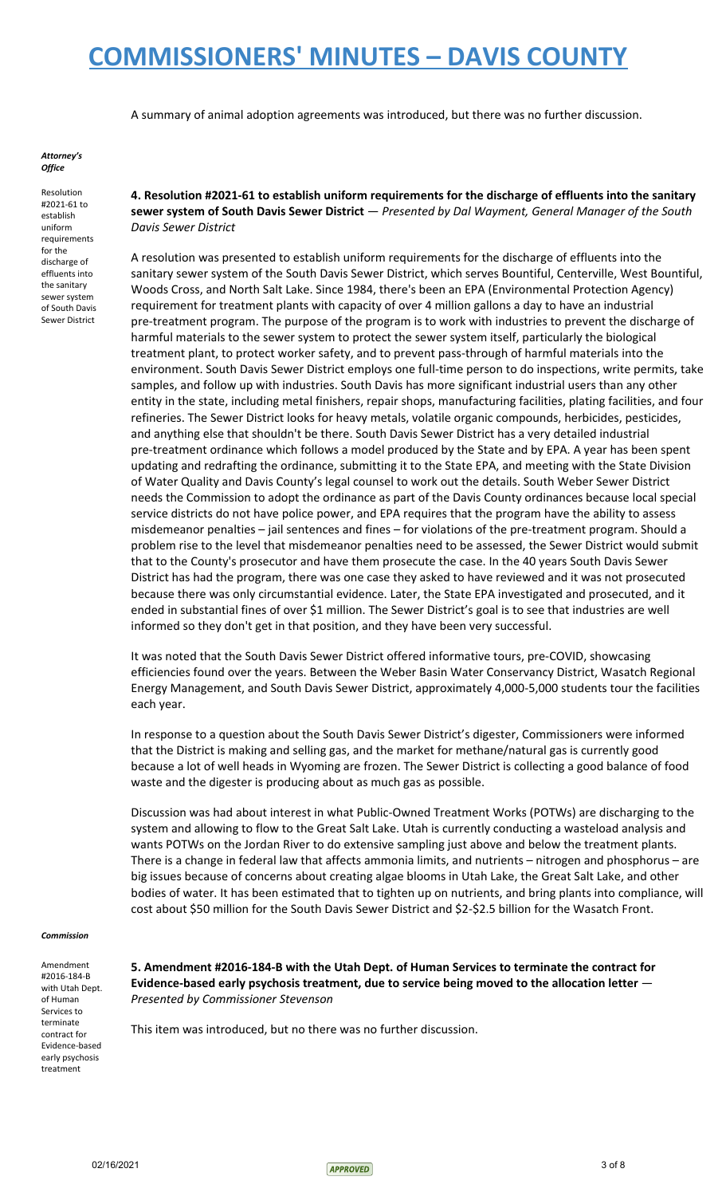A summary of animal adoption agreements was introduced, but there was no further discussion.

#### *Attorney's Office*

Resolution #2021-61 to establish uniform requirements for the discharge of effluents into the sanitary sewer system of South Davis Sewer District **4. Resolution #2021-61 to establish uniform requirements for the discharge of effluents into the sanitary sewer system of South Davis Sewer District** — *Presented by Dal Wayment, General Manager of the South Davis Sewer District*

A resolution was presented to establish uniform requirements for the discharge of effluents into the sanitary sewer system of the South Davis Sewer District, which serves Bountiful, Centerville, West Bountiful, Woods Cross, and North Salt Lake. Since 1984, there's been an EPA (Environmental Protection Agency) requirement for treatment plants with capacity of over 4 million gallons a day to have an industrial pre-treatment program. The purpose of the program is to work with industries to prevent the discharge of harmful materials to the sewer system to protect the sewer system itself, particularly the biological treatment plant, to protect worker safety, and to prevent pass-through of harmful materials into the environment. South Davis Sewer District employs one full-time person to do inspections, write permits, take samples, and follow up with industries. South Davis has more significant industrial users than any other entity in the state, including metal finishers, repair shops, manufacturing facilities, plating facilities, and four refineries. The Sewer District looks for heavy metals, volatile organic compounds, herbicides, pesticides, and anything else that shouldn't be there. South Davis Sewer District has a very detailed industrial pre-treatment ordinance which follows a model produced by the State and by EPA. A year has been spent updating and redrafting the ordinance, submitting it to the State EPA, and meeting with the State Division of Water Quality and Davis County's legal counsel to work out the details. South Weber Sewer District needs the Commission to adopt the ordinance as part of the Davis County ordinances because local special service districts do not have police power, and EPA requires that the program have the ability to assess misdemeanor penalties – jail sentences and fines – for violations of the pre-treatment program. Should a problem rise to the level that misdemeanor penalties need to be assessed, the Sewer District would submit that to the County's prosecutor and have them prosecute the case. In the 40 years South Davis Sewer District has had the program, there was one case they asked to have reviewed and it was not prosecuted because there was only circumstantial evidence. Later, the State EPA investigated and prosecuted, and it ended in substantial fines of over \$1 million. The Sewer District's goal is to see that industries are well informed so they don't get in that position, and they have been very successful.

It was noted that the South Davis Sewer District offered informative tours, pre-COVID, showcasing efficiencies found over the years. Between the Weber Basin Water Conservancy District, Wasatch Regional Energy Management, and South Davis Sewer District, approximately 4,000-5,000 students tour the facilities each year.

In response to a question about the South Davis Sewer District's digester, Commissioners were informed that the District is making and selling gas, and the market for methane/natural gas is currently good because a lot of well heads in Wyoming are frozen. The Sewer District is collecting a good balance of food waste and the digester is producing about as much gas as possible.

Discussion was had about interest in what Public-Owned Treatment Works (POTWs) are discharging to the system and allowing to flow to the Great Salt Lake. Utah is currently conducting a wasteload analysis and wants POTWs on the Jordan River to do extensive sampling just above and below the treatment plants. There is a change in federal law that affects ammonia limits, and nutrients – nitrogen and phosphorus – are big issues because of concerns about creating algae blooms in Utah Lake, the Great Salt Lake, and other bodies of water. It has been estimated that to tighten up on nutrients, and bring plants into compliance, will cost about \$50 million for the South Davis Sewer District and \$2-\$2.5 billion for the Wasatch Front.

#### *Commission*

Amendment #2016-184-B with Utah Dept. of Human Services to terminate contract for Evidence-based early psychosis treatment

**5. Amendment #2016-184-B with the Utah Dept. of Human Services to terminate the contract for Evidence-based early psychosis treatment, due to service being moved to the allocation letter** — *Presented by Commissioner Stevenson*

This item was introduced, but no there was no further discussion.

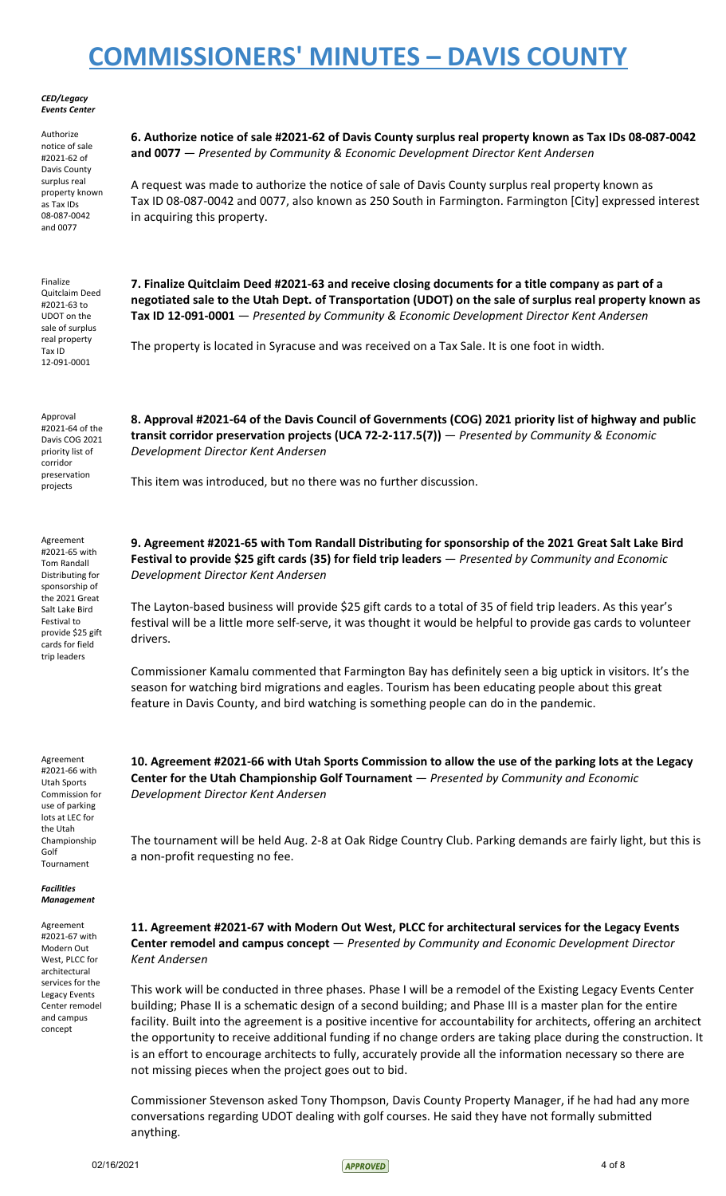#### *CED/Legacy Events Center*

Authorize notice of sale #2021-62 of Davis County surplus real property known as Tax IDs 08-087-0042 and 0077

Finalize Quitclaim Deed #2021-63 to UDOT on the sale of surplus real property Tax ID 12-091-0001

**6. Authorize notice of sale #2021-62 of Davis County surplus real property known as Tax IDs 08-087-0042 and 0077** — *Presented by Community & Economic Development Director Kent Andersen*

A request was made to authorize the notice of sale of Davis County surplus real property known as Tax ID 08-087-0042 and 0077, also known as 250 South in Farmington. Farmington [City] expressed interest in acquiring this property.

**7. Finalize Quitclaim Deed #2021-63 and receive closing documents for a title company as part of a** negotiated sale to the Utah Dept. of Transportation (UDOT) on the sale of surplus real property known as **Tax ID 12-091-0001** — *Presented by Community & Economic Development Director Kent Andersen*

**8. Approval #2021-64 of the Davis Council of Governments (COG) 2021 priority list of highway and public**

**transit corridor preservation projects (UCA 72-2-117.5(7))** — *Presented by Community & Economic*

The property is located in Syracuse and was received on a Tax Sale. It is one foot in width.

Approval #2021-64 of the Davis COG 2021 priority list of corridor preservation projects

*Development Director Kent Andersen*

This item was introduced, but no there was no further discussion.

Agreement #2021-65 with Tom Randall Distributing for sponsorship of the 2021 Great Salt Lake Bird Festival to provide \$25 gift cards for field trip leaders

**9. Agreement #2021-65 with Tom Randall Distributing for sponsorship of the 2021 Great Salt Lake Bird Festival to provide \$25 gift cards (35) for field trip leaders** — *Presented by Community and Economic Development Director Kent Andersen*

The Layton-based business will provide \$25 gift cards to a total of 35 of field trip leaders. As this year's festival will be a little more self-serve, it was thought it would be helpful to provide gas cards to volunteer drivers.

Commissioner Kamalu commented that Farmington Bay has definitely seen a big uptick in visitors. It's the season for watching bird migrations and eagles. Tourism has been educating people about this great feature in Davis County, and bird watching is something people can do in the pandemic.

Agreement #2021-66 with Utah Sports Commission for use of parking lots at LEC for the Utah Championship Golf Tournament

*Facilities Management*

Agreement #2021-67 with Modern Out West, PLCC for architectural services for the Legacy Events Center remodel and campus concept

10. Agreement #2021-66 with Utah Sports Commission to allow the use of the parking lots at the Legacy **Center for the Utah Championship Golf Tournament** — *Presented by Community and Economic Development Director Kent Andersen*

The tournament will be held Aug. 2-8 at Oak Ridge Country Club. Parking demands are fairly light, but this is a non-profit requesting no fee.

**11. Agreement #2021-67 with Modern Out West, PLCC for architectural services for the Legacy Events Center remodel and campus concept** — *Presented by Community and Economic Development Director Kent Andersen*

This work will be conducted in three phases. Phase I will be a remodel of the Existing Legacy Events Center building; Phase II is a schematic design of a second building; and Phase III is a master plan for the entire facility. Built into the agreement is a positive incentive for accountability for architects, offering an architect the opportunity to receive additional funding if no change orders are taking place during the construction. It is an effort to encourage architects to fully, accurately provide all the information necessary so there are not missing pieces when the project goes out to bid.

Commissioner Stevenson asked Tony Thompson, Davis County Property Manager, if he had had any more conversations regarding UDOT dealing with golf courses. He said they have not formally submitted anything.

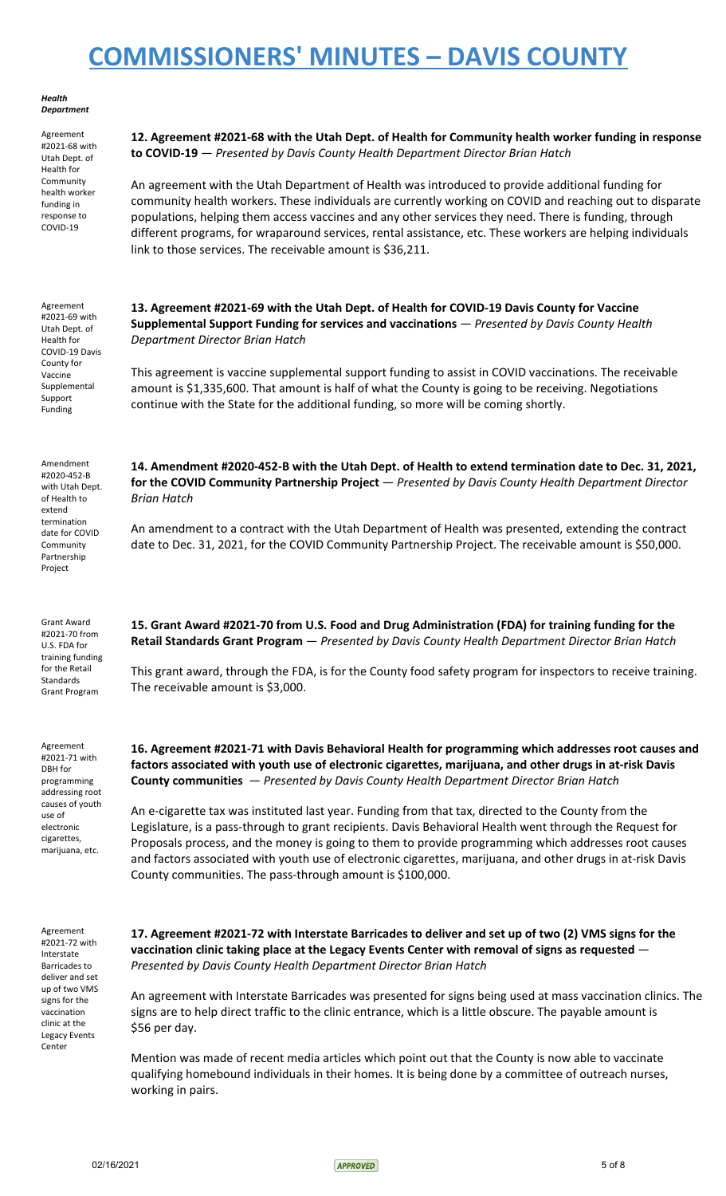*Health Department*

Agreement #2021-68 with Utah Dept. of Health for Community health worker funding in response to COVID-19

Agreement #2021-69 with Utah Dept. of Health for COVID-19 Davis County for Vaccine Supplemental Support Funding

### **12. Agreement #2021-68 with the Utah Dept. of Health for Community health worker funding in response to COVID-19** — *Presented by Davis County Health Department Director Brian Hatch*

An agreement with the Utah Department of Health was introduced to provide additional funding for community health workers. These individuals are currently working on COVID and reaching out to disparate populations, helping them access vaccines and any other services they need. There is funding, through different programs, for wraparound services, rental assistance, etc. These workers are helping individuals link to those services. The receivable amount is \$36,211.

### **13. Agreement #2021-69 with the Utah Dept. of Health for COVID-19 Davis County for Vaccine Supplemental Support Funding for services and vaccinations** — *Presented by Davis County Health Department Director Brian Hatch*

This agreement is vaccine supplemental support funding to assist in COVID vaccinations. The receivable amount is \$1,335,600. That amount is half of what the County is going to be receiving. Negotiations continue with the State for the additional funding, so more will be coming shortly.

Amendment #2020-452-B with Utah Dept. of Health to extend termination date for COVID **Community** Partnership Project

Grant Award #2021-70 from U.S. FDA for training funding for the Retail **Standards** Grant Program

Agreement #2021-71 with DBH for programming addressing root causes of youth use of electronic cigarettes, marijuana, etc.

Agreement #2021-72 with Interstate Barricades to deliver and set up of two VMS signs for the vaccination clinic at the Legacy Events Center

**14. Amendment #2020-452-B with the Utah Dept. of Health to extend termination date to Dec. 31, 2021, for the COVID Community Partnership Project** — *Presented by Davis County Health Department Director Brian Hatch*

An amendment to a contract with the Utah Department of Health was presented, extending the contract date to Dec. 31, 2021, for the COVID Community Partnership Project. The receivable amount is \$50,000.

**15. Grant Award #2021-70 from U.S. Food and Drug Administration (FDA) for training funding for the Retail Standards Grant Program** — *Presented by Davis County Health Department Director Brian Hatch*

This grant award, through the FDA, is for the County food safety program for inspectors to receive training. The receivable amount is \$3,000.

**16. Agreement #2021-71 with Davis Behavioral Health for programming which addresses root causes and factors associated with youth use of electronic cigarettes, marijuana, and other drugs in at-risk Davis County communities** — *Presented by Davis County Health Department Director Brian Hatch*

An e-cigarette tax was instituted last year. Funding from that tax, directed to the County from the Legislature, is a pass-through to grant recipients. Davis Behavioral Health went through the Request for Proposals process, and the money is going to them to provide programming which addresses root causes and factors associated with youth use of electronic cigarettes, marijuana, and other drugs in at-risk Davis County communities. The pass-through amount is \$100,000.

17. Agreement #2021-72 with Interstate Barricades to deliver and set up of two (2) VMS signs for the **vaccination clinic taking place at the Legacy Events Center with removal of signs as requested** — *Presented by Davis County Health Department Director Brian Hatch*

An agreement with Interstate Barricades was presented for signs being used at mass vaccination clinics. The signs are to help direct traffic to the clinic entrance, which is a little obscure. The payable amount is \$56 per day.

Mention was made of recent media articles which point out that the County is now able to vaccinate qualifying homebound individuals in their homes. It is being done by a committee of outreach nurses, working in pairs.

 $O2/16/2021$  5 of 8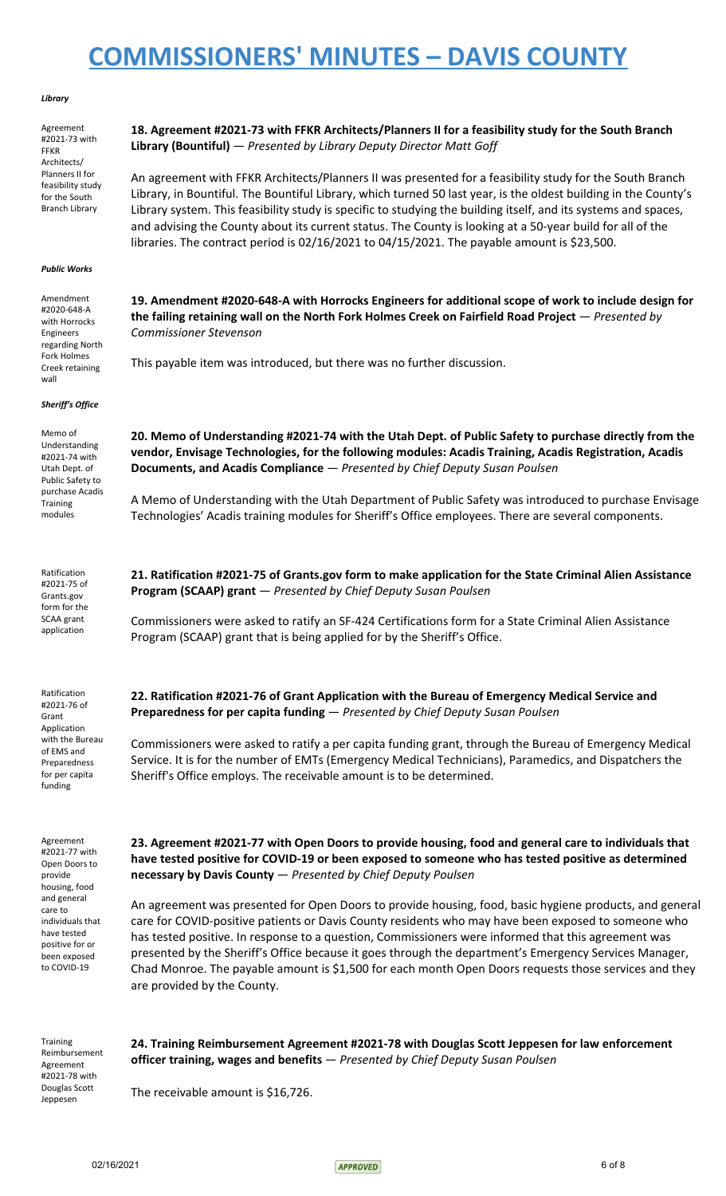#### *Library*

| Agreement<br>#2021-73 with<br><b>FFKR</b><br>Architects/                                                                                                                               | 18. Agreement #2021-73 with FFKR Architects/Planners II for a feasibility study for the South Branch<br>Library (Bountiful) - Presented by Library Deputy Director Matt Goff                                                                                                                                                                                                                                                                                                                                                                                            |
|----------------------------------------------------------------------------------------------------------------------------------------------------------------------------------------|-------------------------------------------------------------------------------------------------------------------------------------------------------------------------------------------------------------------------------------------------------------------------------------------------------------------------------------------------------------------------------------------------------------------------------------------------------------------------------------------------------------------------------------------------------------------------|
| Planners II for<br>feasibility study<br>for the South<br><b>Branch Library</b>                                                                                                         | An agreement with FFKR Architects/Planners II was presented for a feasibility study for the South Branch<br>Library, in Bountiful. The Bountiful Library, which turned 50 last year, is the oldest building in the County's<br>Library system. This feasibility study is specific to studying the building itself, and its systems and spaces,<br>and advising the County about its current status. The County is looking at a 50-year build for all of the<br>libraries. The contract period is 02/16/2021 to 04/15/2021. The payable amount is \$23,500.              |
| <b>Public Works</b>                                                                                                                                                                    |                                                                                                                                                                                                                                                                                                                                                                                                                                                                                                                                                                         |
| Amendment<br>#2020-648-A<br>with Horrocks<br>Engineers<br>regarding North                                                                                                              | 19. Amendment #2020-648-A with Horrocks Engineers for additional scope of work to include design for<br>the failing retaining wall on the North Fork Holmes Creek on Fairfield Road Project $-$ Presented by<br><b>Commissioner Stevenson</b>                                                                                                                                                                                                                                                                                                                           |
| Fork Holmes<br>Creek retaining<br>wall                                                                                                                                                 | This payable item was introduced, but there was no further discussion.                                                                                                                                                                                                                                                                                                                                                                                                                                                                                                  |
| Sheriff's Office                                                                                                                                                                       |                                                                                                                                                                                                                                                                                                                                                                                                                                                                                                                                                                         |
| Memo of<br>Understanding<br>#2021-74 with<br>Utah Dept. of<br>Public Safety to                                                                                                         | 20. Memo of Understanding #2021-74 with the Utah Dept. of Public Safety to purchase directly from the<br>vendor, Envisage Technologies, for the following modules: Acadis Training, Acadis Registration, Acadis<br>Documents, and Acadis Compliance - Presented by Chief Deputy Susan Poulsen                                                                                                                                                                                                                                                                           |
| purchase Acadis<br><b>Training</b><br>modules                                                                                                                                          | A Memo of Understanding with the Utah Department of Public Safety was introduced to purchase Envisage<br>Technologies' Acadis training modules for Sheriff's Office employees. There are several components.                                                                                                                                                                                                                                                                                                                                                            |
| Ratification<br>#2021-75 of<br>Grants.gov<br>form for the<br>SCAA grant<br>application                                                                                                 | 21. Ratification #2021-75 of Grants.gov form to make application for the State Criminal Alien Assistance<br>Program (SCAAP) grant - Presented by Chief Deputy Susan Poulsen                                                                                                                                                                                                                                                                                                                                                                                             |
|                                                                                                                                                                                        | Commissioners were asked to ratify an SF-424 Certifications form for a State Criminal Alien Assistance<br>Program (SCAAP) grant that is being applied for by the Sheriff's Office.                                                                                                                                                                                                                                                                                                                                                                                      |
| Ratification<br>#2021-76 of<br>Grant                                                                                                                                                   | 22. Ratification #2021-76 of Grant Application with the Bureau of Emergency Medical Service and<br>Preparedness for per capita funding - Presented by Chief Deputy Susan Poulsen                                                                                                                                                                                                                                                                                                                                                                                        |
| Application<br>with the Bureau<br>of EMS and<br>Preparedness<br>for per capita<br>funding                                                                                              | Commissioners were asked to ratify a per capita funding grant, through the Bureau of Emergency Medical<br>Service. It is for the number of EMTs (Emergency Medical Technicians), Paramedics, and Dispatchers the<br>Sheriff's Office employs. The receivable amount is to be determined.                                                                                                                                                                                                                                                                                |
| Agreement<br>#2021-77 with<br>Open Doors to<br>provide<br>housing, food<br>and general<br>care to<br>individuals that<br>have tested<br>positive for or<br>been exposed<br>to COVID-19 | 23. Agreement #2021-77 with Open Doors to provide housing, food and general care to individuals that<br>have tested positive for COVID-19 or been exposed to someone who has tested positive as determined<br>necessary by Davis County - Presented by Chief Deputy Poulsen                                                                                                                                                                                                                                                                                             |
|                                                                                                                                                                                        | An agreement was presented for Open Doors to provide housing, food, basic hygiene products, and general<br>care for COVID-positive patients or Davis County residents who may have been exposed to someone who<br>has tested positive. In response to a question, Commissioners were informed that this agreement was<br>presented by the Sheriff's Office because it goes through the department's Emergency Services Manager,<br>Chad Monroe. The payable amount is \$1,500 for each month Open Doors requests those services and they<br>are provided by the County. |
| Training<br>Reimbursement<br>Agreement<br>#2021-78 with<br>Douglas Scott                                                                                                               | 24. Training Reimbursement Agreement #2021-78 with Douglas Scott Jeppesen for law enforcement<br>officer training, wages and benefits - Presented by Chief Deputy Susan Poulsen<br>The receivable amount is \$16,726.                                                                                                                                                                                                                                                                                                                                                   |
|                                                                                                                                                                                        |                                                                                                                                                                                                                                                                                                                                                                                                                                                                                                                                                                         |

Jeppesen

02/16/2021 6 of 8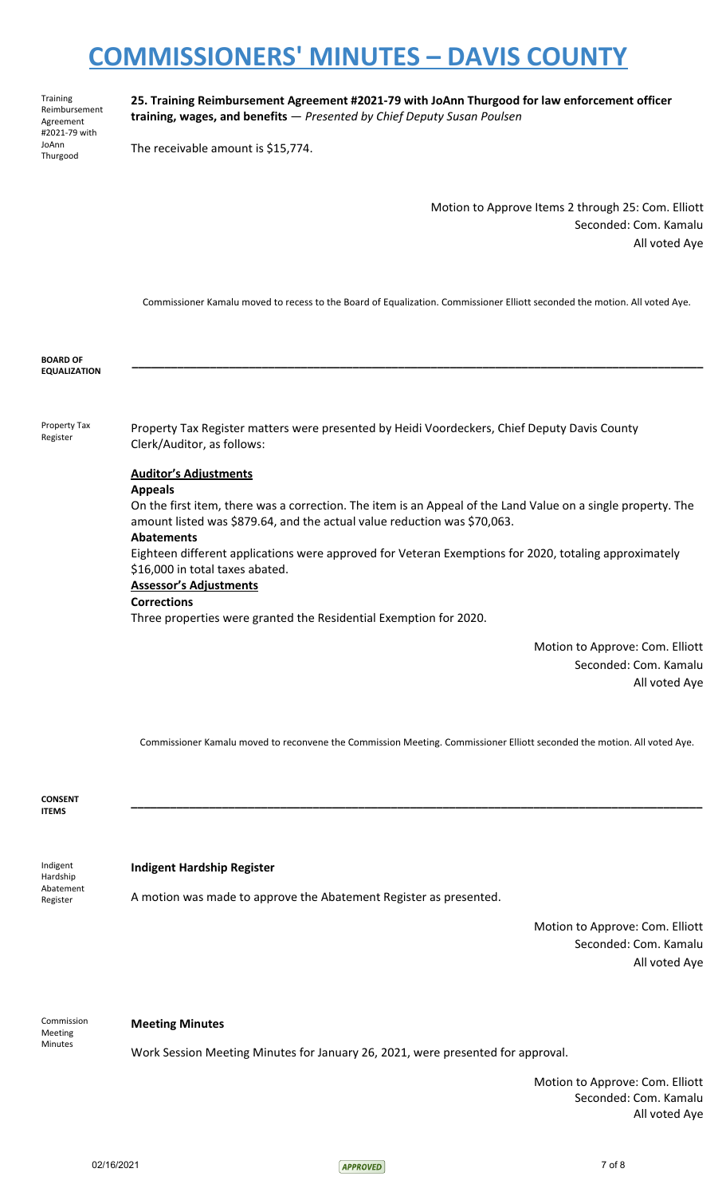Training Reimbursement Agreement #2021-79 with JoAnn Thurgood

**25. Training Reimbursement Agreement #2021-79 with JoAnn Thurgood for law enforcement officer training, wages, and benefits** — *Presented by Chief Deputy Susan Poulsen*

The receivable amount is \$15,774.

Motion to Approve Items 2 through 25: Com. Elliott Seconded: Com. Kamalu All voted Aye

Commissioner Kamalu moved to recess to the Board of Equalization. Commissioner Elliott seconded the motion. All voted Aye.

**\_\_\_\_\_\_\_\_\_\_\_\_\_\_\_\_\_\_\_\_\_\_\_\_\_\_\_\_\_\_\_\_\_\_\_\_\_\_\_\_\_\_\_\_\_\_\_\_\_\_\_\_\_\_\_\_\_\_\_\_\_\_\_\_\_\_\_\_\_\_\_\_\_\_\_\_\_\_\_\_\_\_\_\_\_\_\_\_**

**BOARD OF EQUALIZATION**

Property Tax Register

Property Tax Register matters were presented by Heidi Voordeckers, Chief Deputy Davis County Clerk/Auditor, as follows:

### **Auditor's Adjustments**

### **Appeals**

On the first item, there was a correction. The item is an Appeal of the Land Value on a single property. The amount listed was \$879.64, and the actual value reduction was \$70,063.

### **Abatements**

Eighteen different applications were approved for Veteran Exemptions for 2020, totaling approximately \$16,000 in total taxes abated.

# **Assessor's Adjustments**

### **Corrections**

Three properties were granted the Residential Exemption for 2020.

Motion to Approve: Com. Elliott Seconded: Com. Kamalu All voted Aye

Commissioner Kamalu moved to reconvene the Commission Meeting. Commissioner Elliott seconded the motion. All voted Aye.

**\_\_\_\_\_\_\_\_\_\_\_\_\_\_\_\_\_\_\_\_\_\_\_\_\_\_\_\_\_\_\_\_\_\_\_\_\_\_\_\_\_\_\_\_\_\_\_\_\_\_\_\_\_\_\_\_\_\_\_\_\_\_\_\_\_\_\_\_\_\_\_\_\_\_\_\_\_\_\_\_\_\_\_\_\_\_\_\_**

**CONSENT ITEMS**

**Indigent Hardship Register**

Hardship Abatement Register

Indigent

A motion was made to approve the Abatement Register as presented.

Motion to Approve: Com. Elliott Seconded: Com. Kamalu All voted Aye

Commission Meeting Minutes

### **Meeting Minutes**

Work Session Meeting Minutes for January 26, 2021, were presented for approval.

Motion to Approve: Com. Elliott Seconded: Com. Kamalu All voted Aye